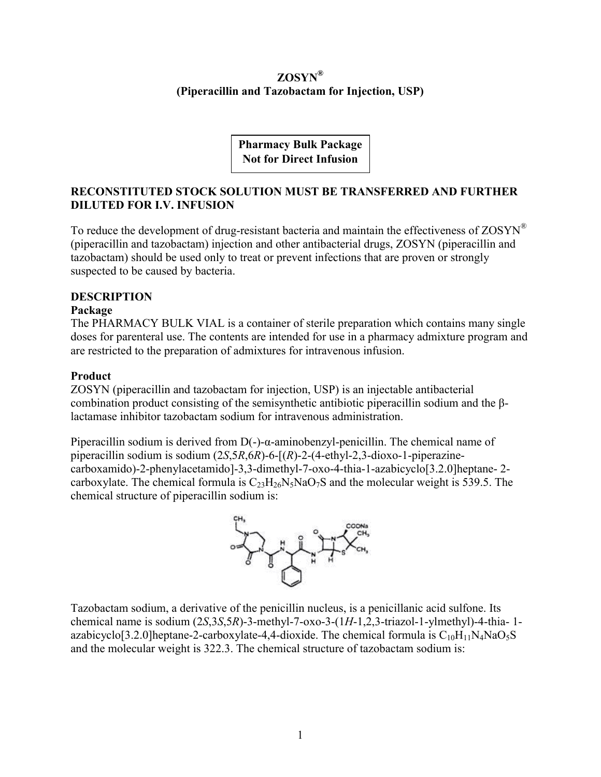**ZOSYN® (Piperacillin and Tazobactam for Injection, USP)**

> **Pharmacy Bulk Package Not for Direct Infusion**

## **RECONSTITUTED STOCK SOLUTION MUST BE TRANSFERRED AND FURTHER DILUTED FOR I.V. INFUSION**

To reduce the development of drug-resistant bacteria and maintain the effectiveness of ZOSYN<sup>®</sup> (piperacillin and tazobactam) injection and other antibacterial drugs, ZOSYN (piperacillin and tazobactam) should be used only to treat or prevent infections that are proven or strongly suspected to be caused by bacteria.

### **DESCRIPTION**

#### **Package**

The PHARMACY BULK VIAL is a container of sterile preparation which contains many single doses for parenteral use. The contents are intended for use in a pharmacy admixture program and are restricted to the preparation of admixtures for intravenous infusion.

### **Product**

ZOSYN (piperacillin and tazobactam for injection, USP) is an injectable antibacterial combination product consisting of the semisynthetic antibiotic piperacillin sodium and the βlactamase inhibitor tazobactam sodium for intravenous administration.

Piperacillin sodium is derived from D(-)-α-aminobenzyl-penicillin. The chemical name of piperacillin sodium is sodium (2*S*,5*R*,6*R*)-6-[(*R*)-2-(4-ethyl-2,3-dioxo-1-piperazinecarboxamido)-2-phenylacetamido]-3,3-dimethyl-7-oxo-4-thia-1-azabicyclo[3.2.0]heptane- 2 carboxylate. The chemical formula is  $C_{23}H_{26}N_5NaO_7S$  and the molecular weight is 539.5. The chemical structure of piperacillin sodium is:



Tazobactam sodium, a derivative of the penicillin nucleus, is a penicillanic acid sulfone. Its chemical name is sodium (2*S*,3*S*,5*R*)-3-methyl-7-oxo-3-(1*H*-1,2,3-triazol-1-ylmethyl)-4-thia- 1 azabicyclo[3.2.0]heptane-2-carboxylate-4,4-dioxide. The chemical formula is  $C_{10}H_{11}N_4N_8O_5S$ and the molecular weight is 322.3. The chemical structure of tazobactam sodium is: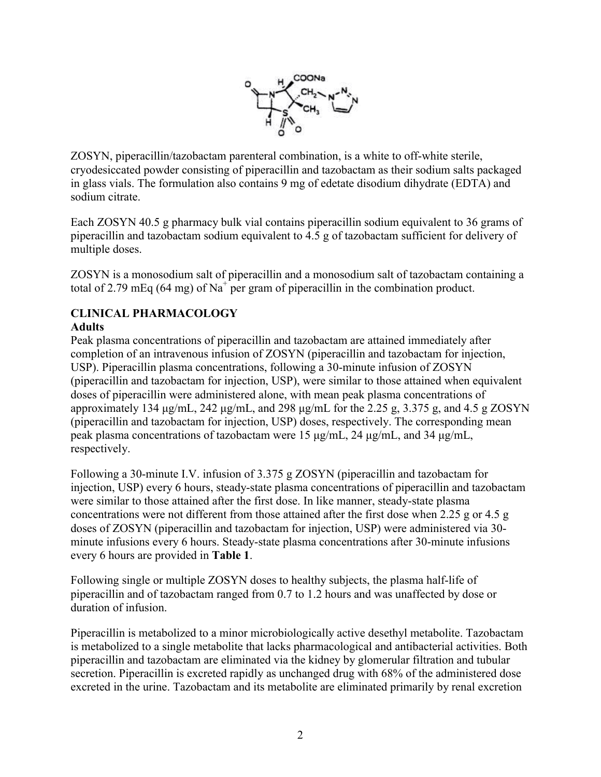

ZOSYN, piperacillin/tazobactam parenteral combination, is a white to off-white sterile, cryodesiccated powder consisting of piperacillin and tazobactam as their sodium salts packaged in glass vials. The formulation also contains 9 mg of edetate disodium dihydrate (EDTA) and sodium citrate.

Each ZOSYN 40.5 g pharmacy bulk vial contains piperacillin sodium equivalent to 36 grams of piperacillin and tazobactam sodium equivalent to 4.5 g of tazobactam sufficient for delivery of multiple doses.

ZOSYN is a monosodium salt of piperacillin and a monosodium salt of tazobactam containing a total of 2.79 mEq (64 mg) of Na<sup>+</sup> per gram of piperacillin in the combination product.

# **CLINICAL PHARMACOLOGY**

# **Adults**

Peak plasma concentrations of piperacillin and tazobactam are attained immediately after completion of an intravenous infusion of ZOSYN (piperacillin and tazobactam for injection, USP). Piperacillin plasma concentrations, following a 30-minute infusion of ZOSYN (piperacillin and tazobactam for injection, USP), were similar to those attained when equivalent doses of piperacillin were administered alone, with mean peak plasma concentrations of approximately 134 μg/mL, 242 μg/mL, and 298 μg/mL for the 2.25 g, 3.375 g, and 4.5 g ZOSYN (piperacillin and tazobactam for injection, USP) doses, respectively. The corresponding mean peak plasma concentrations of tazobactam were 15 μg/mL, 24 μg/mL, and 34 μg/mL, respectively.

Following a 30-minute I.V. infusion of 3.375 g ZOSYN (piperacillin and tazobactam for injection, USP) every 6 hours, steady-state plasma concentrations of piperacillin and tazobactam were similar to those attained after the first dose. In like manner, steady-state plasma concentrations were not different from those attained after the first dose when 2.25 g or 4.5 g doses of ZOSYN (piperacillin and tazobactam for injection, USP) were administered via 30 minute infusions every 6 hours. Steady-state plasma concentrations after 30-minute infusions every 6 hours are provided in **Table 1**.

Following single or multiple ZOSYN doses to healthy subjects, the plasma half-life of piperacillin and of tazobactam ranged from 0.7 to 1.2 hours and was unaffected by dose or duration of infusion.

Piperacillin is metabolized to a minor microbiologically active desethyl metabolite. Tazobactam is metabolized to a single metabolite that lacks pharmacological and antibacterial activities. Both piperacillin and tazobactam are eliminated via the kidney by glomerular filtration and tubular secretion. Piperacillin is excreted rapidly as unchanged drug with 68% of the administered dose excreted in the urine. Tazobactam and its metabolite are eliminated primarily by renal excretion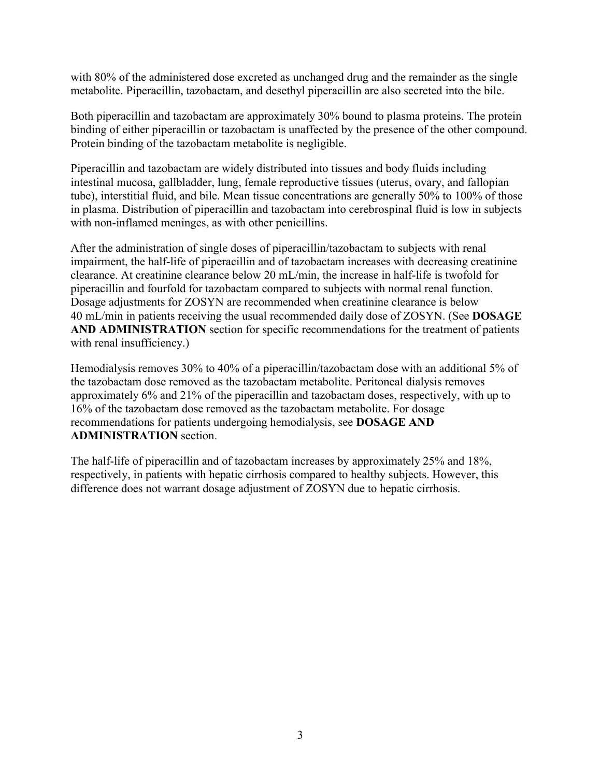with 80% of the administered dose excreted as unchanged drug and the remainder as the single metabolite. Piperacillin, tazobactam, and desethyl piperacillin are also secreted into the bile.

Both piperacillin and tazobactam are approximately 30% bound to plasma proteins. The protein binding of either piperacillin or tazobactam is unaffected by the presence of the other compound. Protein binding of the tazobactam metabolite is negligible.

Piperacillin and tazobactam are widely distributed into tissues and body fluids including intestinal mucosa, gallbladder, lung, female reproductive tissues (uterus, ovary, and fallopian tube), interstitial fluid, and bile. Mean tissue concentrations are generally 50% to 100% of those in plasma. Distribution of piperacillin and tazobactam into cerebrospinal fluid is low in subjects with non-inflamed meninges, as with other penicillins.

After the administration of single doses of piperacillin/tazobactam to subjects with renal impairment, the half-life of piperacillin and of tazobactam increases with decreasing creatinine clearance. At creatinine clearance below 20 mL/min, the increase in half-life is twofold for piperacillin and fourfold for tazobactam compared to subjects with normal renal function. Dosage adjustments for ZOSYN are recommended when creatinine clearance is below 40 mL/min in patients receiving the usual recommended daily dose of ZOSYN. (See **DOSAGE AND ADMINISTRATION** section for specific recommendations for the treatment of patients with renal insufficiency.)

Hemodialysis removes 30% to 40% of a piperacillin/tazobactam dose with an additional 5% of the tazobactam dose removed as the tazobactam metabolite. Peritoneal dialysis removes approximately 6% and 21% of the piperacillin and tazobactam doses, respectively, with up to 16% of the tazobactam dose removed as the tazobactam metabolite. For dosage recommendations for patients undergoing hemodialysis, see **DOSAGE AND ADMINISTRATION** section.

The half-life of piperacillin and of tazobactam increases by approximately 25% and 18%, respectively, in patients with hepatic cirrhosis compared to healthy subjects. However, this difference does not warrant dosage adjustment of ZOSYN due to hepatic cirrhosis.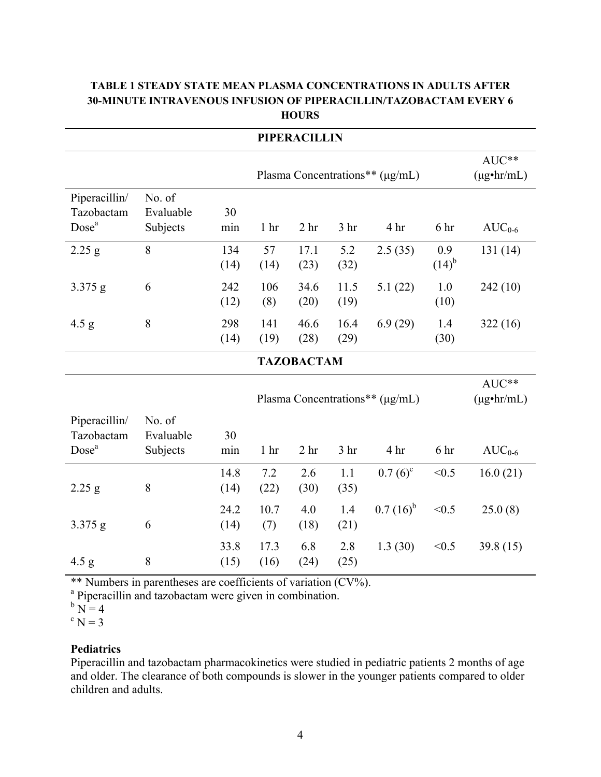#### **TABLE 1 STEADY STATE MEAN PLASMA CONCENTRATIONS IN ADULTS AFTER 30-MINUTE INTRAVENOUS INFUSION OF PIPERACILLIN/TAZOBACTAM EVERY 6 HOURS**

|                                                  |                                 |              |                 | <b>PIPERACILLIN</b> |                 |                                      |                   |                                            |
|--------------------------------------------------|---------------------------------|--------------|-----------------|---------------------|-----------------|--------------------------------------|-------------------|--------------------------------------------|
|                                                  |                                 |              |                 |                     |                 | Plasma Concentrations** (µg/mL)      |                   | $AUC**$<br>$(\mu g \cdot hr/mL)$           |
| Piperacillin/<br>Tazobactam<br>Dose <sup>a</sup> | No. of<br>Evaluable<br>Subjects | 30<br>min    | 1 <sub>hr</sub> | 2 <sub>hr</sub>     | 3 <sub>hr</sub> | 4 hr                                 | 6 hr              | $AUC_{0.6}$                                |
| 2.25 g                                           | 8                               | 134<br>(14)  | 57<br>(14)      | 17.1<br>(23)        | 5.2<br>(32)     | 2.5(35)                              | 0.9<br>$(14)^{b}$ | 131(14)                                    |
| $3.375$ g                                        | 6                               | 242<br>(12)  | 106<br>(8)      | 34.6<br>(20)        | 11.5<br>(19)    | 5.1(22)                              | 1.0<br>(10)       | 242(10)                                    |
| $4.5$ g                                          | 8                               | 298<br>(14)  | 141<br>(19)     | 46.6<br>(28)        | 16.4<br>(29)    | 6.9(29)                              | 1.4<br>(30)       | 322(16)                                    |
|                                                  |                                 |              |                 | <b>TAZOBACTAM</b>   |                 |                                      |                   |                                            |
|                                                  |                                 |              |                 |                     |                 | Plasma Concentrations** $(\mu g/mL)$ |                   | $\mbox{AUC^{**}}$<br>$(\mu g \cdot hr/mL)$ |
| Piperacillin/<br>Tazobactam<br>Dose <sup>a</sup> | No. of<br>Evaluable<br>Subjects | 30<br>min    | 1 <sub>hr</sub> | 2 <sub>hr</sub>     | 3 <sub>hr</sub> | 4 hr                                 | 6 hr              | $AUC_{0.6}$                                |
| 2.25 g                                           | 8                               | 14.8<br>(14) | 7.2<br>(22)     | 2.6<br>(30)         | 1.1<br>(35)     | $0.7(6)^c$                           | < 0.5             | 16.0(21)                                   |
|                                                  |                                 | 24.2         | 10.7            | 4.0                 | 1.4             | $0.7(16)^{b}$                        | < 0.5             | 25.0(8)                                    |
| $3.375$ g                                        | 6                               | (14)         | (7)             | (18)                | (21)            |                                      |                   |                                            |

\*\* Numbers in parentheses are coefficients of variation (CV%).

<sup>a</sup> Piperacillin and tazobactam were given in combination.

 $c$  N = 3

### **Pediatrics**

Piperacillin and tazobactam pharmacokinetics were studied in pediatric patients 2 months of age and older. The clearance of both compounds is slower in the younger patients compared to older children and adults.

 $^{\rm b}$  N = 4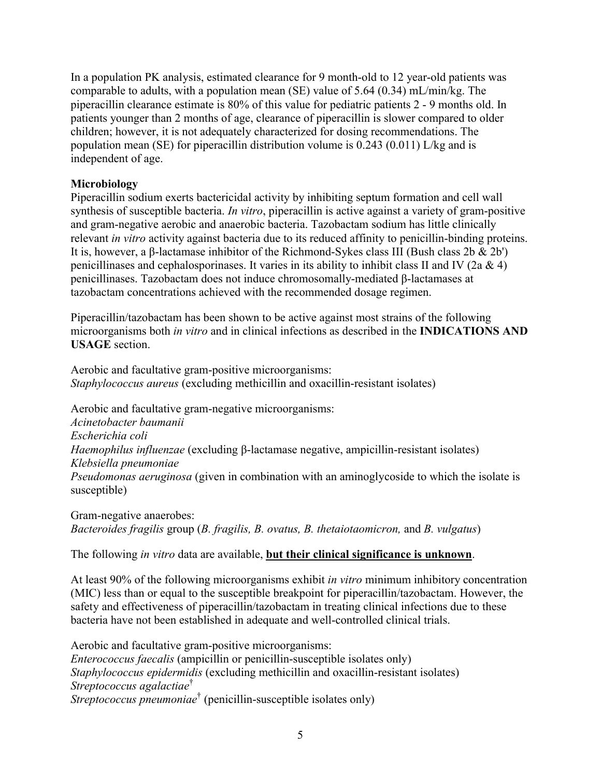In a population PK analysis, estimated clearance for 9 month-old to 12 year-old patients was comparable to adults, with a population mean (SE) value of 5.64 (0.34) mL/min/kg. The piperacillin clearance estimate is 80% of this value for pediatric patients 2 - 9 months old. In patients younger than 2 months of age, clearance of piperacillin is slower compared to older children; however, it is not adequately characterized for dosing recommendations. The population mean (SE) for piperacillin distribution volume is 0.243 (0.011) L/kg and is independent of age.

### **Microbiology**

Piperacillin sodium exerts bactericidal activity by inhibiting septum formation and cell wall synthesis of susceptible bacteria. *In vitro*, piperacillin is active against a variety of gram-positive and gram-negative aerobic and anaerobic bacteria. Tazobactam sodium has little clinically relevant *in vitro* activity against bacteria due to its reduced affinity to penicillin-binding proteins. It is, however, a β-lactamase inhibitor of the Richmond-Sykes class III (Bush class 2b & 2b') penicillinases and cephalosporinases. It varies in its ability to inhibit class II and IV (2a  $\&$  4) penicillinases. Tazobactam does not induce chromosomally-mediated β-lactamases at tazobactam concentrations achieved with the recommended dosage regimen.

Piperacillin/tazobactam has been shown to be active against most strains of the following microorganisms both *in vitro* and in clinical infections as described in the **INDICATIONS AND USAGE** section.

Aerobic and facultative gram-positive microorganisms: *Staphylococcus aureus* (excluding methicillin and oxacillin-resistant isolates)

Aerobic and facultative gram-negative microorganisms: *Acinetobacter baumanii Escherichia coli Haemophilus influenzae* (excluding β-lactamase negative, ampicillin-resistant isolates) *Klebsiella pneumoniae Pseudomonas aeruginosa* (given in combination with an aminoglycoside to which the isolate is susceptible)

Gram-negative anaerobes: *Bacteroides fragilis* group (*B. fragilis, B. ovatus, B. thetaiotaomicron,* and *B. vulgatus*)

The following *in vitro* data are available, **but their clinical significance is unknown**.

At least 90% of the following microorganisms exhibit *in vitro* minimum inhibitory concentration (MIC) less than or equal to the susceptible breakpoint for piperacillin/tazobactam. However, the safety and effectiveness of piperacillin/tazobactam in treating clinical infections due to these bacteria have not been established in adequate and well-controlled clinical trials.

Aerobic and facultative gram-positive microorganisms: *Enterococcus faecalis* (ampicillin or penicillin-susceptible isolates only) *Staphylococcus epidermidis* (excluding methicillin and oxacillin-resistant isolates) *Streptococcus agalactiae*† *Streptococcus pneumoniae*† (penicillin-susceptible isolates only)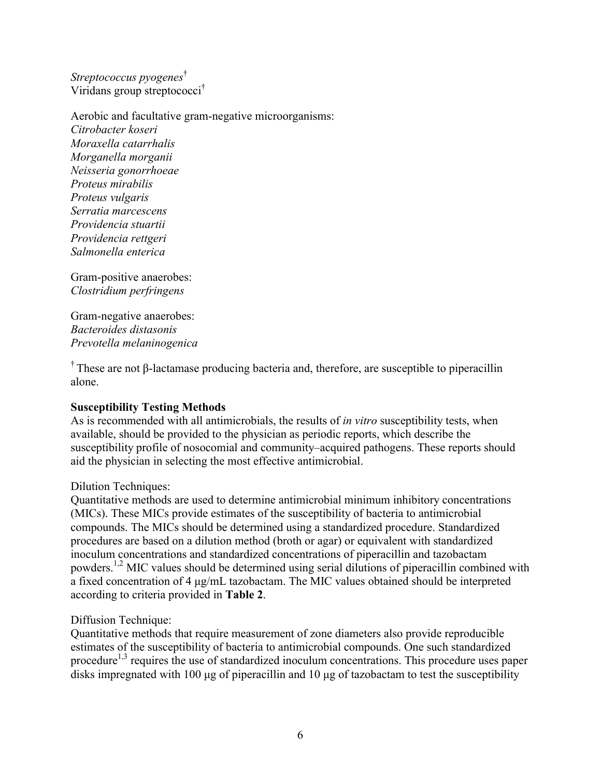*Streptococcus pyogenes*† Viridans group streptococci†

Aerobic and facultative gram-negative microorganisms: *Citrobacter koseri Moraxella catarrhalis Morganella morganii Neisseria gonorrhoeae Proteus mirabilis Proteus vulgaris Serratia marcescens Providencia stuartii Providencia rettgeri Salmonella enterica* 

Gram-positive anaerobes: *Clostridium perfringens* 

Gram-negative anaerobes: *Bacteroides distasonis Prevotella melaninogenica* 

† These are not β-lactamase producing bacteria and, therefore, are susceptible to piperacillin alone.

### **Susceptibility Testing Methods**

As is recommended with all antimicrobials, the results of *in vitro* susceptibility tests, when available, should be provided to the physician as periodic reports, which describe the susceptibility profile of nosocomial and community–acquired pathogens. These reports should aid the physician in selecting the most effective antimicrobial.

### Dilution Techniques:

Quantitative methods are used to determine antimicrobial minimum inhibitory concentrations (MICs). These MICs provide estimates of the susceptibility of bacteria to antimicrobial compounds. The MICs should be determined using a standardized procedure. Standardized procedures are based on a dilution method (broth or agar) or equivalent with standardized inoculum concentrations and standardized concentrations of piperacillin and tazobactam powders.1,2 MIC values should be determined using serial dilutions of piperacillin combined with a fixed concentration of 4 μg/mL tazobactam. The MIC values obtained should be interpreted according to criteria provided in **Table 2**.

#### Diffusion Technique:

Quantitative methods that require measurement of zone diameters also provide reproducible estimates of the susceptibility of bacteria to antimicrobial compounds. One such standardized procedure<sup>1,3</sup> requires the use of standardized inoculum concentrations. This procedure uses paper disks impregnated with 100 μg of piperacillin and 10 μg of tazobactam to test the susceptibility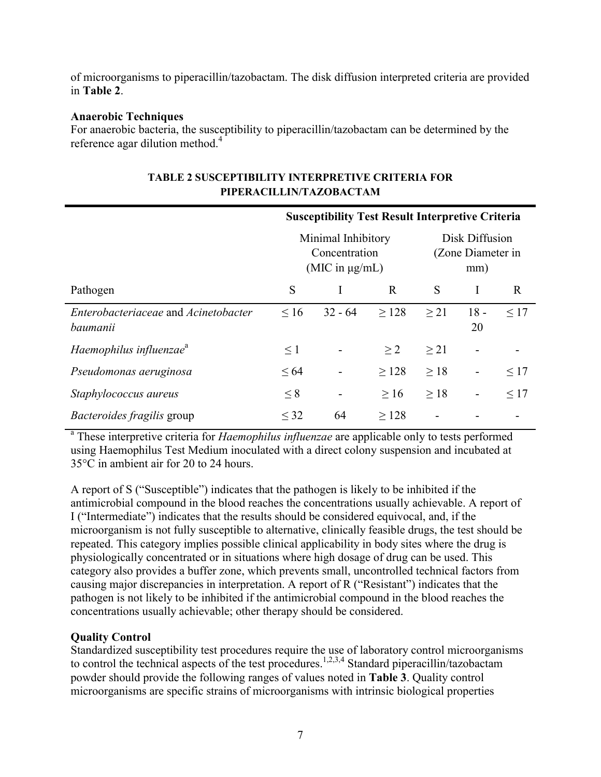of microorganisms to piperacillin/tazobactam. The disk diffusion interpreted criteria are provided in **Table 2**.

#### **Anaerobic Techniques**

For anaerobic bacteria, the susceptibility to piperacillin/tazobactam can be determined by the reference agar dilution method.<sup>4</sup>

|                                                  |           | <b>Susceptibility Test Result Interpretive Criteria</b>    |            |           |                                            |           |
|--------------------------------------------------|-----------|------------------------------------------------------------|------------|-----------|--------------------------------------------|-----------|
|                                                  |           | Minimal Inhibitory<br>Concentration<br>(MIC in $\mu$ g/mL) |            |           | Disk Diffusion<br>(Zone Diameter in<br>mm) |           |
| Pathogen                                         | S         | I                                                          | R          | S         | I                                          | R         |
| Enterobacteriaceae and Acinetobacter<br>baumanii | $\leq 16$ | $32 - 64$                                                  | >128       | >21       | $18 -$<br>20                               | $\leq 17$ |
| Haemophilus influenzae <sup>a</sup>              | $\leq$ 1  | $\overline{\phantom{a}}$                                   | $\geq$ 2   | $\geq$ 21 |                                            |           |
| Pseudomonas aeruginosa                           | <64       |                                                            | >128       | >18       | $\overline{\phantom{0}}$                   | $\leq$ 17 |
| Staphylococcus aureus                            | $\leq 8$  | $\blacksquare$                                             | >16        | >18       | $\overline{\phantom{a}}$                   | $\leq$ 17 |
| <i>Bacteroides fragilis group</i>                | $\leq$ 32 | 64                                                         | $\geq$ 128 |           |                                            |           |

### **TABLE 2 SUSCEPTIBILITY INTERPRETIVE CRITERIA FOR PIPERACILLIN/TAZOBACTAM**

<sup>a</sup> These interpretive criteria for *Haemophilus influenzae* are applicable only to tests performed using Haemophilus Test Medium inoculated with a direct colony suspension and incubated at 35°C in ambient air for 20 to 24 hours.

A report of S ("Susceptible") indicates that the pathogen is likely to be inhibited if the antimicrobial compound in the blood reaches the concentrations usually achievable. A report of I ("Intermediate") indicates that the results should be considered equivocal, and, if the microorganism is not fully susceptible to alternative, clinically feasible drugs, the test should be repeated. This category implies possible clinical applicability in body sites where the drug is physiologically concentrated or in situations where high dosage of drug can be used. This category also provides a buffer zone, which prevents small, uncontrolled technical factors from causing major discrepancies in interpretation. A report of R ("Resistant") indicates that the pathogen is not likely to be inhibited if the antimicrobial compound in the blood reaches the concentrations usually achievable; other therapy should be considered.

### **Quality Control**

Standardized susceptibility test procedures require the use of laboratory control microorganisms to control the technical aspects of the test procedures.<sup>1,2,3,4</sup> Standard piperacillin/tazobactam powder should provide the following ranges of values noted in **Table 3**. Quality control microorganisms are specific strains of microorganisms with intrinsic biological properties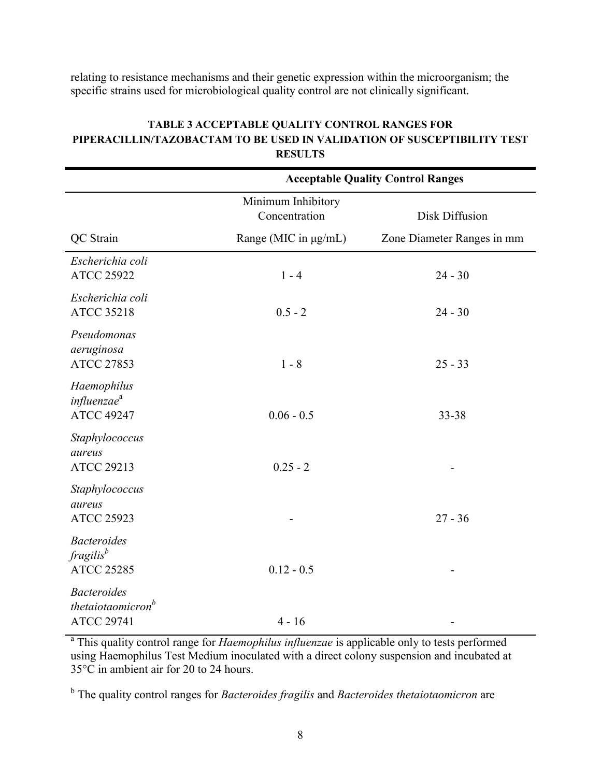relating to resistance mechanisms and their genetic expression within the microorganism; the specific strains used for microbiological quality control are not clinically significant.

|                                                                          | <b>Acceptable Quality Control Ranges</b> |                            |  |
|--------------------------------------------------------------------------|------------------------------------------|----------------------------|--|
|                                                                          | Minimum Inhibitory<br>Concentration      | Disk Diffusion             |  |
| QC Strain                                                                | Range (MIC in $\mu$ g/mL)                | Zone Diameter Ranges in mm |  |
| Escherichia coli<br><b>ATCC 25922</b>                                    | $1 - 4$                                  | $24 - 30$                  |  |
| Escherichia coli<br><b>ATCC 35218</b>                                    | $0.5 - 2$                                | $24 - 30$                  |  |
| Pseudomonas<br>aeruginosa<br><b>ATCC 27853</b>                           | $1 - 8$                                  | $25 - 33$                  |  |
| Haemophilus<br>influenzae <sup>a</sup><br><b>ATCC 49247</b>              | $0.06 - 0.5$                             | 33-38                      |  |
| Staphylococcus<br>aureus<br><b>ATCC 29213</b>                            | $0.25 - 2$                               |                            |  |
| Staphylococcus<br>aureus<br><b>ATCC 25923</b>                            |                                          | $27 - 36$                  |  |
| <b>Bacteroides</b><br>fragilis <sup>b</sup><br><b>ATCC 25285</b>         | $0.12 - 0.5$                             |                            |  |
| <b>Bacteroides</b><br>thetaiotaomicron <sup>b</sup><br><b>ATCC 29741</b> | $4 - 16$                                 |                            |  |

# **TABLE 3 ACCEPTABLE QUALITY CONTROL RANGES FOR PIPERACILLIN/TAZOBACTAM TO BE USED IN VALIDATION OF SUSCEPTIBILITY TEST RESULTS**

<sup>a</sup> This quality control range for *Haemophilus influenzae* is applicable only to tests performed using Haemophilus Test Medium inoculated with a direct colony suspension and incubated at 35°C in ambient air for 20 to 24 hours.

b The quality control ranges for *Bacteroides fragilis* and *Bacteroides thetaiotaomicron* are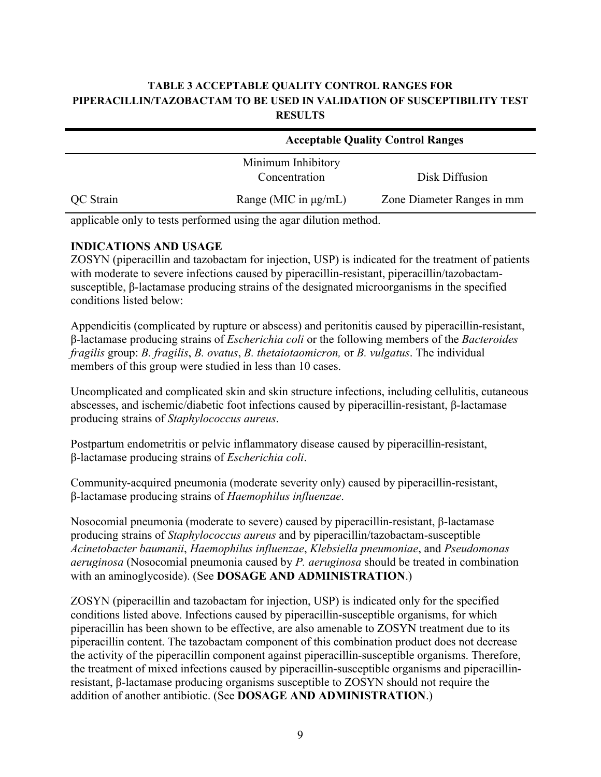## **TABLE 3 ACCEPTABLE QUALITY CONTROL RANGES FOR PIPERACILLIN/TAZOBACTAM TO BE USED IN VALIDATION OF SUSCEPTIBILITY TEST RESULTS**

|           | <b>Acceptable Quality Control Ranges</b> |                            |  |  |
|-----------|------------------------------------------|----------------------------|--|--|
|           | Minimum Inhibitory<br>Concentration      | Disk Diffusion             |  |  |
| QC Strain | Range (MIC in $\mu$ g/mL)                | Zone Diameter Ranges in mm |  |  |

applicable only to tests performed using the agar dilution method.

#### **INDICATIONS AND USAGE**

ZOSYN (piperacillin and tazobactam for injection, USP) is indicated for the treatment of patients with moderate to severe infections caused by piperacillin-resistant, piperacillin/tazobactamsusceptible, β-lactamase producing strains of the designated microorganisms in the specified conditions listed below:

Appendicitis (complicated by rupture or abscess) and peritonitis caused by piperacillin-resistant, β-lactamase producing strains of *Escherichia coli* or the following members of the *Bacteroides fragilis* group: *B. fragilis*, *B. ovatus*, *B. thetaiotaomicron,* or *B. vulgatus*. The individual members of this group were studied in less than 10 cases.

Uncomplicated and complicated skin and skin structure infections, including cellulitis, cutaneous abscesses, and ischemic/diabetic foot infections caused by piperacillin-resistant, β-lactamase producing strains of *Staphylococcus aureus*.

Postpartum endometritis or pelvic inflammatory disease caused by piperacillin-resistant, β-lactamase producing strains of *Escherichia coli*.

Community-acquired pneumonia (moderate severity only) caused by piperacillin-resistant, β-lactamase producing strains of *Haemophilus influenzae*.

Nosocomial pneumonia (moderate to severe) caused by piperacillin-resistant, β-lactamase producing strains of *Staphylococcus aureus* and by piperacillin/tazobactam-susceptible *Acinetobacter baumanii*, *Haemophilus influenzae*, *Klebsiella pneumoniae*, and *Pseudomonas aeruginosa* (Nosocomial pneumonia caused by *P. aeruginosa* should be treated in combination with an aminoglycoside). (See **DOSAGE AND ADMINISTRATION**.)

ZOSYN (piperacillin and tazobactam for injection, USP) is indicated only for the specified conditions listed above. Infections caused by piperacillin-susceptible organisms, for which piperacillin has been shown to be effective, are also amenable to ZOSYN treatment due to its piperacillin content. The tazobactam component of this combination product does not decrease the activity of the piperacillin component against piperacillin-susceptible organisms. Therefore, the treatment of mixed infections caused by piperacillin-susceptible organisms and piperacillinresistant, β-lactamase producing organisms susceptible to ZOSYN should not require the addition of another antibiotic. (See **DOSAGE AND ADMINISTRATION**.)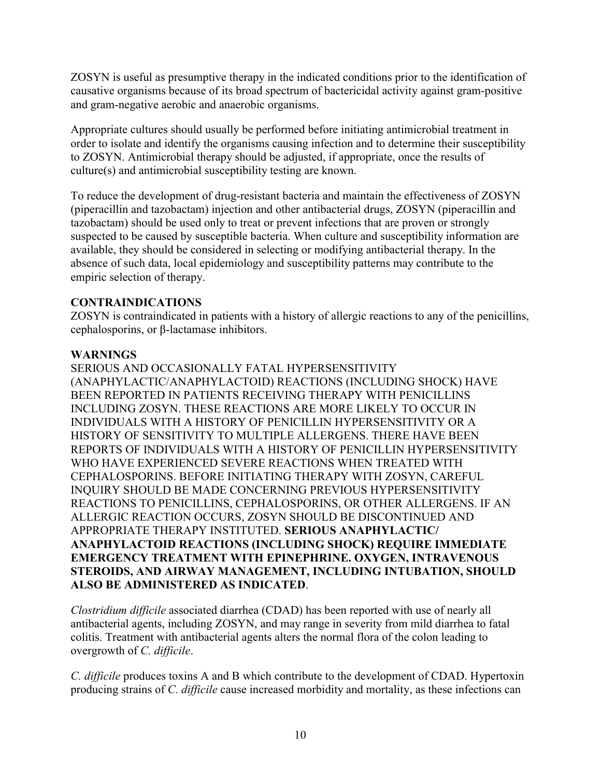ZOSYN is useful as presumptive therapy in the indicated conditions prior to the identification of causative organisms because of its broad spectrum of bactericidal activity against gram-positive and gram-negative aerobic and anaerobic organisms.

Appropriate cultures should usually be performed before initiating antimicrobial treatment in order to isolate and identify the organisms causing infection and to determine their susceptibility to ZOSYN. Antimicrobial therapy should be adjusted, if appropriate, once the results of culture(s) and antimicrobial susceptibility testing are known.

To reduce the development of drug-resistant bacteria and maintain the effectiveness of ZOSYN (piperacillin and tazobactam) injection and other antibacterial drugs, ZOSYN (piperacillin and tazobactam) should be used only to treat or prevent infections that are proven or strongly suspected to be caused by susceptible bacteria. When culture and susceptibility information are available, they should be considered in selecting or modifying antibacterial therapy. In the absence of such data, local epidemiology and susceptibility patterns may contribute to the empiric selection of therapy.

## **CONTRAINDICATIONS**

ZOSYN is contraindicated in patients with a history of allergic reactions to any of the penicillins, cephalosporins, or β-lactamase inhibitors.

### **WARNINGS**

SERIOUS AND OCCASIONALLY FATAL HYPERSENSITIVITY (ANAPHYLACTIC/ANAPHYLACTOID) REACTIONS (INCLUDING SHOCK) HAVE BEEN REPORTED IN PATIENTS RECEIVING THERAPY WITH PENICILLINS INCLUDING ZOSYN. THESE REACTIONS ARE MORE LIKELY TO OCCUR IN INDIVIDUALS WITH A HISTORY OF PENICILLIN HYPERSENSITIVITY OR A HISTORY OF SENSITIVITY TO MULTIPLE ALLERGENS. THERE HAVE BEEN REPORTS OF INDIVIDUALS WITH A HISTORY OF PENICILLIN HYPERSENSITIVITY WHO HAVE EXPERIENCED SEVERE REACTIONS WHEN TREATED WITH CEPHALOSPORINS. BEFORE INITIATING THERAPY WITH ZOSYN, CAREFUL INQUIRY SHOULD BE MADE CONCERNING PREVIOUS HYPERSENSITIVITY REACTIONS TO PENICILLINS, CEPHALOSPORINS, OR OTHER ALLERGENS. IF AN ALLERGIC REACTION OCCURS, ZOSYN SHOULD BE DISCONTINUED AND APPROPRIATE THERAPY INSTITUTED. **SERIOUS ANAPHYLACTIC/ ANAPHYLACTOID REACTIONS (INCLUDING SHOCK) REQUIRE IMMEDIATE EMERGENCY TREATMENT WITH EPINEPHRINE. OXYGEN, INTRAVENOUS STEROIDS, AND AIRWAY MANAGEMENT, INCLUDING INTUBATION, SHOULD ALSO BE ADMINISTERED AS INDICATED**.

*Clostridium difficile* associated diarrhea (CDAD) has been reported with use of nearly all antibacterial agents, including ZOSYN, and may range in severity from mild diarrhea to fatal colitis. Treatment with antibacterial agents alters the normal flora of the colon leading to overgrowth of *C. difficile*.

*C. difficile* produces toxins A and B which contribute to the development of CDAD. Hypertoxin producing strains of *C. difficile* cause increased morbidity and mortality, as these infections can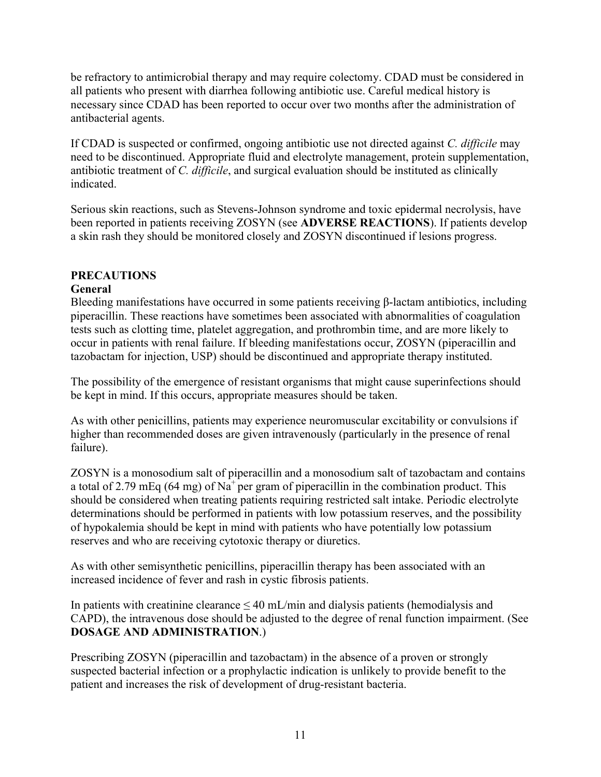be refractory to antimicrobial therapy and may require colectomy. CDAD must be considered in all patients who present with diarrhea following antibiotic use. Careful medical history is necessary since CDAD has been reported to occur over two months after the administration of antibacterial agents.

If CDAD is suspected or confirmed, ongoing antibiotic use not directed against *C. difficile* may need to be discontinued. Appropriate fluid and electrolyte management, protein supplementation, antibiotic treatment of *C. difficile*, and surgical evaluation should be instituted as clinically indicated.

Serious skin reactions, such as Stevens-Johnson syndrome and toxic epidermal necrolysis, have been reported in patients receiving ZOSYN (see **ADVERSE REACTIONS**). If patients develop a skin rash they should be monitored closely and ZOSYN discontinued if lesions progress.

# **PRECAUTIONS**

## **General**

Bleeding manifestations have occurred in some patients receiving β-lactam antibiotics, including piperacillin. These reactions have sometimes been associated with abnormalities of coagulation tests such as clotting time, platelet aggregation, and prothrombin time, and are more likely to occur in patients with renal failure. If bleeding manifestations occur, ZOSYN (piperacillin and tazobactam for injection, USP) should be discontinued and appropriate therapy instituted.

The possibility of the emergence of resistant organisms that might cause superinfections should be kept in mind. If this occurs, appropriate measures should be taken.

As with other penicillins, patients may experience neuromuscular excitability or convulsions if higher than recommended doses are given intravenously (particularly in the presence of renal failure).

ZOSYN is a monosodium salt of piperacillin and a monosodium salt of tazobactam and contains a total of 2.79 mEq (64 mg) of  $Na<sup>+</sup>$  per gram of piperacillin in the combination product. This should be considered when treating patients requiring restricted salt intake. Periodic electrolyte determinations should be performed in patients with low potassium reserves, and the possibility of hypokalemia should be kept in mind with patients who have potentially low potassium reserves and who are receiving cytotoxic therapy or diuretics.

As with other semisynthetic penicillins, piperacillin therapy has been associated with an increased incidence of fever and rash in cystic fibrosis patients.

In patients with creatinine clearance  $\leq 40$  mL/min and dialysis patients (hemodialysis and CAPD), the intravenous dose should be adjusted to the degree of renal function impairment. (See **DOSAGE AND ADMINISTRATION**.)

Prescribing ZOSYN (piperacillin and tazobactam) in the absence of a proven or strongly suspected bacterial infection or a prophylactic indication is unlikely to provide benefit to the patient and increases the risk of development of drug-resistant bacteria.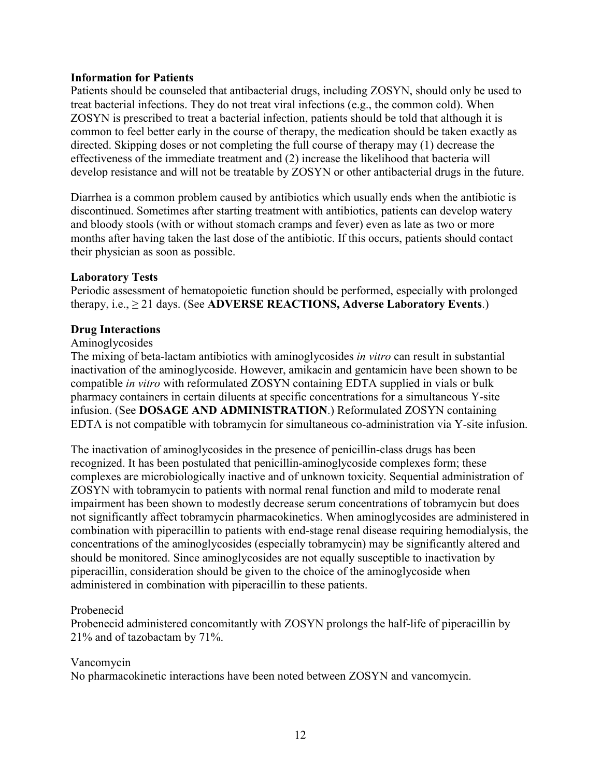#### **Information for Patients**

Patients should be counseled that antibacterial drugs, including ZOSYN, should only be used to treat bacterial infections. They do not treat viral infections (e.g., the common cold). When ZOSYN is prescribed to treat a bacterial infection, patients should be told that although it is common to feel better early in the course of therapy, the medication should be taken exactly as directed. Skipping doses or not completing the full course of therapy may (1) decrease the effectiveness of the immediate treatment and (2) increase the likelihood that bacteria will develop resistance and will not be treatable by ZOSYN or other antibacterial drugs in the future.

Diarrhea is a common problem caused by antibiotics which usually ends when the antibiotic is discontinued. Sometimes after starting treatment with antibiotics, patients can develop watery and bloody stools (with or without stomach cramps and fever) even as late as two or more months after having taken the last dose of the antibiotic. If this occurs, patients should contact their physician as soon as possible.

#### **Laboratory Tests**

Periodic assessment of hematopoietic function should be performed, especially with prolonged therapy, i.e., ≥ 21 days. (See **ADVERSE REACTIONS, Adverse Laboratory Events**.)

#### **Drug Interactions**

#### Aminoglycosides

The mixing of beta-lactam antibiotics with aminoglycosides *in vitro* can result in substantial inactivation of the aminoglycoside. However, amikacin and gentamicin have been shown to be compatible *in vitro* with reformulated ZOSYN containing EDTA supplied in vials or bulk pharmacy containers in certain diluents at specific concentrations for a simultaneous Y-site infusion. (See **DOSAGE AND ADMINISTRATION**.) Reformulated ZOSYN containing EDTA is not compatible with tobramycin for simultaneous co-administration via Y-site infusion.

The inactivation of aminoglycosides in the presence of penicillin-class drugs has been recognized. It has been postulated that penicillin-aminoglycoside complexes form; these complexes are microbiologically inactive and of unknown toxicity. Sequential administration of ZOSYN with tobramycin to patients with normal renal function and mild to moderate renal impairment has been shown to modestly decrease serum concentrations of tobramycin but does not significantly affect tobramycin pharmacokinetics. When aminoglycosides are administered in combination with piperacillin to patients with end-stage renal disease requiring hemodialysis, the concentrations of the aminoglycosides (especially tobramycin) may be significantly altered and should be monitored. Since aminoglycosides are not equally susceptible to inactivation by piperacillin, consideration should be given to the choice of the aminoglycoside when administered in combination with piperacillin to these patients.

#### Probenecid

Probenecid administered concomitantly with ZOSYN prolongs the half-life of piperacillin by 21% and of tazobactam by 71%.

#### Vancomycin

No pharmacokinetic interactions have been noted between ZOSYN and vancomycin.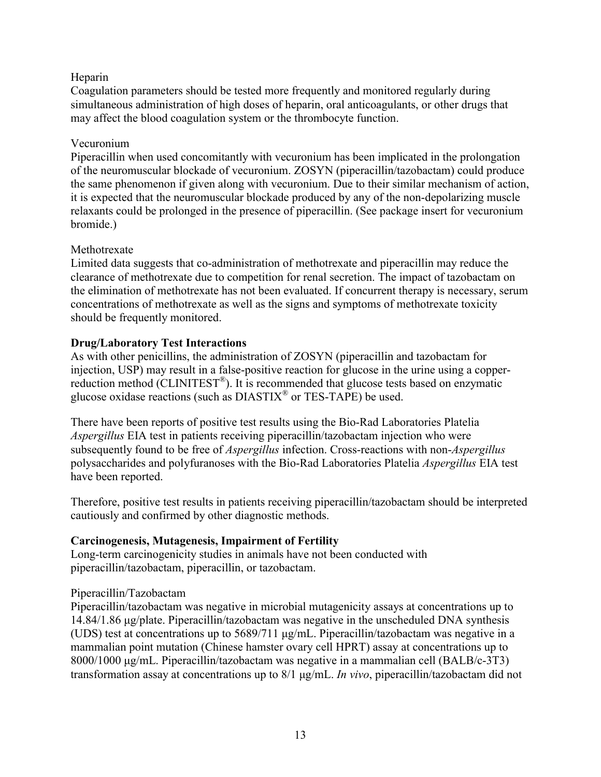#### Heparin

Coagulation parameters should be tested more frequently and monitored regularly during simultaneous administration of high doses of heparin, oral anticoagulants, or other drugs that may affect the blood coagulation system or the thrombocyte function.

#### Vecuronium

Piperacillin when used concomitantly with vecuronium has been implicated in the prolongation of the neuromuscular blockade of vecuronium. ZOSYN (piperacillin/tazobactam) could produce the same phenomenon if given along with vecuronium. Due to their similar mechanism of action, it is expected that the neuromuscular blockade produced by any of the non-depolarizing muscle relaxants could be prolonged in the presence of piperacillin. (See package insert for vecuronium bromide.)

#### Methotrexate

Limited data suggests that co-administration of methotrexate and piperacillin may reduce the clearance of methotrexate due to competition for renal secretion. The impact of tazobactam on the elimination of methotrexate has not been evaluated. If concurrent therapy is necessary, serum concentrations of methotrexate as well as the signs and symptoms of methotrexate toxicity should be frequently monitored.

### **Drug/Laboratory Test Interactions**

As with other penicillins, the administration of ZOSYN (piperacillin and tazobactam for injection, USP) may result in a false-positive reaction for glucose in the urine using a copperreduction method (CLINITEST<sup>®</sup>). It is recommended that glucose tests based on enzymatic glucose oxidase reactions (such as  $DIASTIX^{\circledast}$  or TES-TAPE) be used.

There have been reports of positive test results using the Bio-Rad Laboratories Platelia *Aspergillus* EIA test in patients receiving piperacillin/tazobactam injection who were subsequently found to be free of *Aspergillus* infection. Cross-reactions with non-*Aspergillus* polysaccharides and polyfuranoses with the Bio-Rad Laboratories Platelia *Aspergillus* EIA test have been reported.

Therefore, positive test results in patients receiving piperacillin/tazobactam should be interpreted cautiously and confirmed by other diagnostic methods.

### **Carcinogenesis, Mutagenesis, Impairment of Fertility**

Long-term carcinogenicity studies in animals have not been conducted with piperacillin/tazobactam, piperacillin, or tazobactam.

### Piperacillin/Tazobactam

Piperacillin/tazobactam was negative in microbial mutagenicity assays at concentrations up to 14.84/1.86 μg/plate. Piperacillin/tazobactam was negative in the unscheduled DNA synthesis (UDS) test at concentrations up to 5689/711 μg/mL. Piperacillin/tazobactam was negative in a mammalian point mutation (Chinese hamster ovary cell HPRT) assay at concentrations up to 8000/1000 μg/mL. Piperacillin/tazobactam was negative in a mammalian cell (BALB/c-3T3) transformation assay at concentrations up to 8/1 μg/mL. *In vivo*, piperacillin/tazobactam did not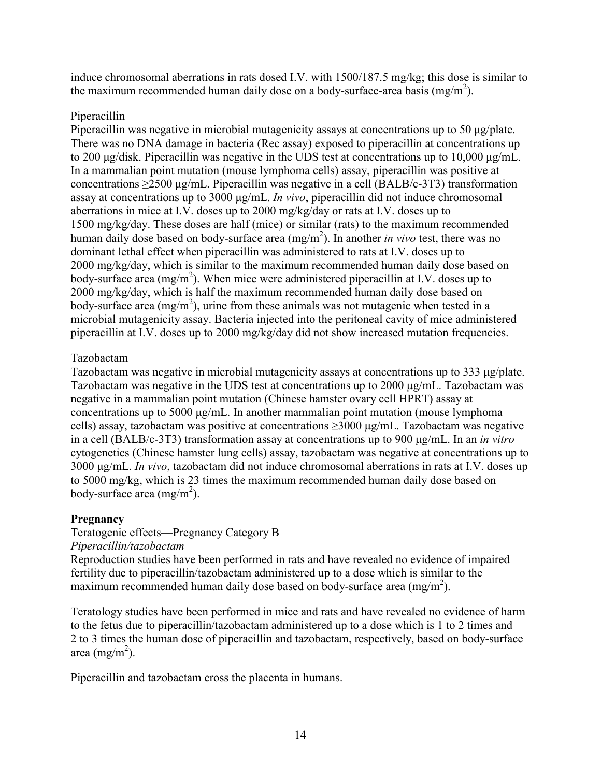induce chromosomal aberrations in rats dosed I.V. with 1500/187.5 mg/kg; this dose is similar to the maximum recommended human daily dose on a body-surface-area basis (mg/m<sup>2</sup>).

# Piperacillin

Piperacillin was negative in microbial mutagenicity assays at concentrations up to 50 μg/plate. There was no DNA damage in bacteria (Rec assay) exposed to piperacillin at concentrations up to 200 μg/disk. Piperacillin was negative in the UDS test at concentrations up to 10,000 μg/mL. In a mammalian point mutation (mouse lymphoma cells) assay, piperacillin was positive at concentrations  $\geq$ 2500 μg/mL. Piperacillin was negative in a cell (BALB/c-3T3) transformation assay at concentrations up to 3000 μg/mL. *In vivo*, piperacillin did not induce chromosomal aberrations in mice at I.V. doses up to 2000 mg/kg/day or rats at I.V. doses up to 1500 mg/kg/day. These doses are half (mice) or similar (rats) to the maximum recommended human daily dose based on body-surface area (mg/m<sup>2</sup>). In another *in vivo* test, there was no dominant lethal effect when piperacillin was administered to rats at I.V. doses up to 2000 mg/kg/day, which is similar to the maximum recommended human daily dose based on body-surface area  $(mg/m^2)$ . When mice were administered piperacillin at I.V. doses up to 2000 mg/kg/day, which is half the maximum recommended human daily dose based on body-surface area (mg/m<sup>2</sup>), urine from these animals was not mutagenic when tested in a microbial mutagenicity assay. Bacteria injected into the peritoneal cavity of mice administered piperacillin at I.V. doses up to 2000 mg/kg/day did not show increased mutation frequencies.

## Tazobactam

Tazobactam was negative in microbial mutagenicity assays at concentrations up to 333 μg/plate. Tazobactam was negative in the UDS test at concentrations up to 2000 μg/mL. Tazobactam was negative in a mammalian point mutation (Chinese hamster ovary cell HPRT) assay at concentrations up to 5000 μg/mL. In another mammalian point mutation (mouse lymphoma cells) assay, tazobactam was positive at concentrations ≥3000 μg/mL. Tazobactam was negative in a cell (BALB/c-3T3) transformation assay at concentrations up to 900 μg/mL. In an *in vitro* cytogenetics (Chinese hamster lung cells) assay, tazobactam was negative at concentrations up to 3000 μg/mL. *In vivo*, tazobactam did not induce chromosomal aberrations in rats at I.V. doses up to 5000 mg/kg, which is 23 times the maximum recommended human daily dose based on body-surface area  $(mg/m^2)$ .

### **Pregnancy**

# Teratogenic effects—Pregnancy Category B

*Piperacillin/tazobactam* 

Reproduction studies have been performed in rats and have revealed no evidence of impaired fertility due to piperacillin/tazobactam administered up to a dose which is similar to the maximum recommended human daily dose based on body-surface area  $(mg/m<sup>2</sup>)$ .

Teratology studies have been performed in mice and rats and have revealed no evidence of harm to the fetus due to piperacillin/tazobactam administered up to a dose which is 1 to 2 times and 2 to 3 times the human dose of piperacillin and tazobactam, respectively, based on body-surface area (mg/m<sup>2</sup>).

Piperacillin and tazobactam cross the placenta in humans.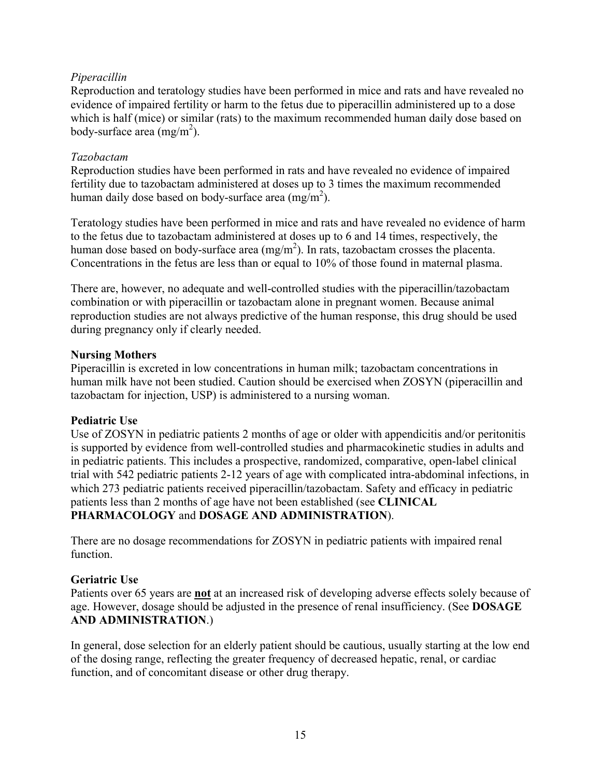## *Piperacillin*

Reproduction and teratology studies have been performed in mice and rats and have revealed no evidence of impaired fertility or harm to the fetus due to piperacillin administered up to a dose which is half (mice) or similar (rats) to the maximum recommended human daily dose based on body-surface area  $(mg/m^2)$ .

#### *Tazobactam*

Reproduction studies have been performed in rats and have revealed no evidence of impaired fertility due to tazobactam administered at doses up to 3 times the maximum recommended human daily dose based on body-surface area  $(mg/m^2)$ .

Teratology studies have been performed in mice and rats and have revealed no evidence of harm to the fetus due to tazobactam administered at doses up to 6 and 14 times, respectively, the human dose based on body-surface area  $(mg/m^2)$ . In rats, tazobactam crosses the placenta. Concentrations in the fetus are less than or equal to 10% of those found in maternal plasma.

There are, however, no adequate and well-controlled studies with the piperacillin/tazobactam combination or with piperacillin or tazobactam alone in pregnant women. Because animal reproduction studies are not always predictive of the human response, this drug should be used during pregnancy only if clearly needed.

#### **Nursing Mothers**

Piperacillin is excreted in low concentrations in human milk; tazobactam concentrations in human milk have not been studied. Caution should be exercised when ZOSYN (piperacillin and tazobactam for injection, USP) is administered to a nursing woman.

### **Pediatric Use**

Use of ZOSYN in pediatric patients 2 months of age or older with appendicitis and/or peritonitis is supported by evidence from well-controlled studies and pharmacokinetic studies in adults and in pediatric patients. This includes a prospective, randomized, comparative, open-label clinical trial with 542 pediatric patients 2-12 years of age with complicated intra-abdominal infections, in which 273 pediatric patients received piperacillin/tazobactam. Safety and efficacy in pediatric patients less than 2 months of age have not been established (see **CLINICAL PHARMACOLOGY** and **DOSAGE AND ADMINISTRATION**).

There are no dosage recommendations for ZOSYN in pediatric patients with impaired renal function.

### **Geriatric Use**

Patients over 65 years are **not** at an increased risk of developing adverse effects solely because of age. However, dosage should be adjusted in the presence of renal insufficiency. (See **DOSAGE AND ADMINISTRATION**.)

In general, dose selection for an elderly patient should be cautious, usually starting at the low end of the dosing range, reflecting the greater frequency of decreased hepatic, renal, or cardiac function, and of concomitant disease or other drug therapy.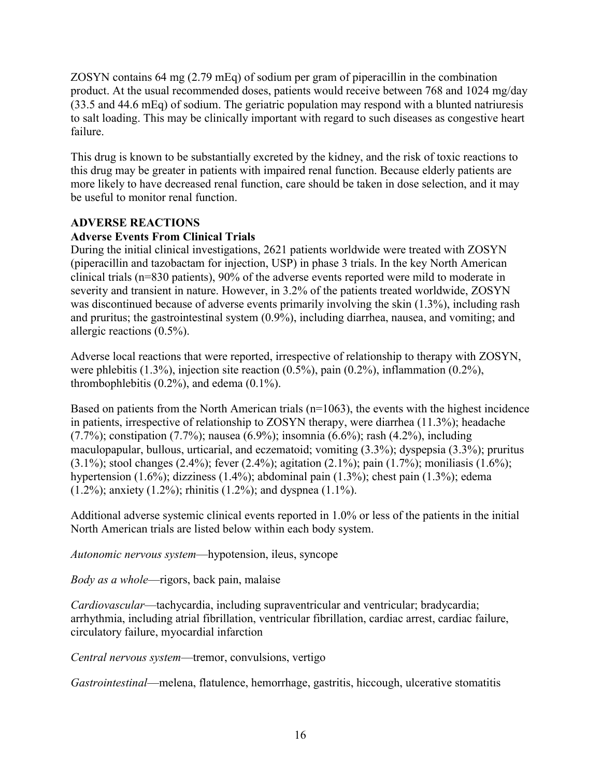ZOSYN contains 64 mg (2.79 mEq) of sodium per gram of piperacillin in the combination product. At the usual recommended doses, patients would receive between 768 and 1024 mg/day (33.5 and 44.6 mEq) of sodium. The geriatric population may respond with a blunted natriuresis to salt loading. This may be clinically important with regard to such diseases as congestive heart failure.

This drug is known to be substantially excreted by the kidney, and the risk of toxic reactions to this drug may be greater in patients with impaired renal function. Because elderly patients are more likely to have decreased renal function, care should be taken in dose selection, and it may be useful to monitor renal function.

## **ADVERSE REACTIONS**

## **Adverse Events From Clinical Trials**

During the initial clinical investigations, 2621 patients worldwide were treated with ZOSYN (piperacillin and tazobactam for injection, USP) in phase 3 trials. In the key North American clinical trials (n=830 patients), 90% of the adverse events reported were mild to moderate in severity and transient in nature. However, in 3.2% of the patients treated worldwide, ZOSYN was discontinued because of adverse events primarily involving the skin (1.3%), including rash and pruritus; the gastrointestinal system (0.9%), including diarrhea, nausea, and vomiting; and allergic reactions (0.5%).

Adverse local reactions that were reported, irrespective of relationship to therapy with ZOSYN, were phlebitis (1.3%), injection site reaction (0.5%), pain (0.2%), inflammation (0.2%), thrombophlebitis (0.2%), and edema (0.1%).

Based on patients from the North American trials  $(n=1063)$ , the events with the highest incidence in patients, irrespective of relationship to ZOSYN therapy, were diarrhea (11.3%); headache (7.7%); constipation (7.7%); nausea (6.9%); insomnia (6.6%); rash (4.2%), including maculopapular, bullous, urticarial, and eczematoid; vomiting (3.3%); dyspepsia (3.3%); pruritus  $(3.1\%)$ ; stool changes  $(2.4\%)$ ; fever  $(2.4\%)$ ; agitation  $(2.1\%)$ ; pain  $(1.7\%)$ ; moniliasis  $(1.6\%)$ ; hypertension (1.6%); dizziness (1.4%); abdominal pain (1.3%); chest pain (1.3%); edema (1.2%); anxiety (1.2%); rhinitis (1.2%); and dyspnea (1.1%).

Additional adverse systemic clinical events reported in 1.0% or less of the patients in the initial North American trials are listed below within each body system.

*Autonomic nervous system*—hypotension, ileus, syncope

*Body as a whole*—rigors, back pain, malaise

*Cardiovascular*—tachycardia, including supraventricular and ventricular; bradycardia; arrhythmia, including atrial fibrillation, ventricular fibrillation, cardiac arrest, cardiac failure, circulatory failure, myocardial infarction

*Central nervous system*—tremor, convulsions, vertigo

*Gastrointestinal*—melena, flatulence, hemorrhage, gastritis, hiccough, ulcerative stomatitis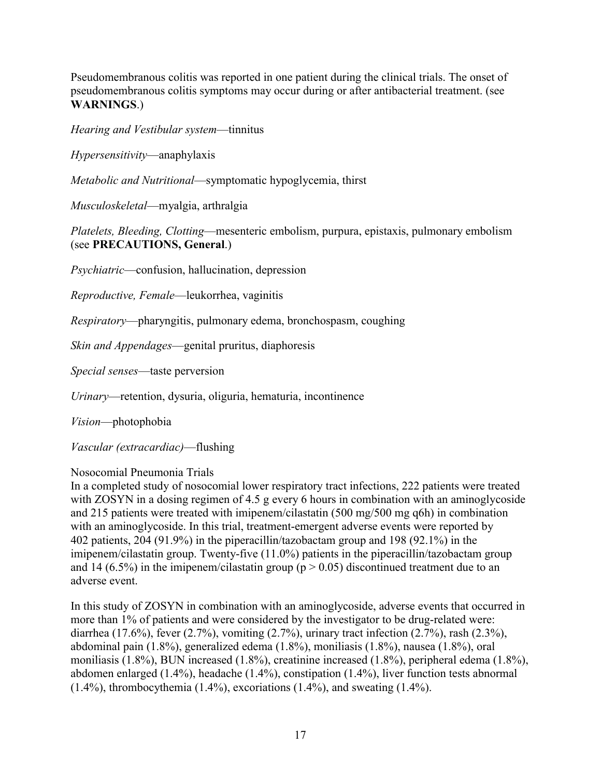Pseudomembranous colitis was reported in one patient during the clinical trials. The onset of pseudomembranous colitis symptoms may occur during or after antibacterial treatment. (see **WARNINGS**.)

*Hearing and Vestibular system*—tinnitus

*Hypersensitivity*—anaphylaxis

*Metabolic and Nutritional*—symptomatic hypoglycemia, thirst

*Musculoskeletal*—myalgia, arthralgia

*Platelets, Bleeding, Clotting*—mesenteric embolism, purpura, epistaxis, pulmonary embolism (see **PRECAUTIONS, General**.)

*Psychiatric*—confusion, hallucination, depression

*Reproductive, Female*—leukorrhea, vaginitis

*Respiratory*—pharyngitis, pulmonary edema, bronchospasm, coughing

*Skin and Appendages*—genital pruritus, diaphoresis

*Special senses*—taste perversion

*Urinary*—retention, dysuria, oliguria, hematuria, incontinence

*Vision*—photophobia

*Vascular (extracardiac)*—flushing

#### Nosocomial Pneumonia Trials

In a completed study of nosocomial lower respiratory tract infections, 222 patients were treated with ZOSYN in a dosing regimen of 4.5 g every 6 hours in combination with an aminogly coside and 215 patients were treated with imipenem/cilastatin (500 mg/500 mg q6h) in combination with an aminoglycoside. In this trial, treatment-emergent adverse events were reported by 402 patients, 204 (91.9%) in the piperacillin/tazobactam group and 198 (92.1%) in the imipenem/cilastatin group. Twenty-five (11.0%) patients in the piperacillin/tazobactam group and 14 (6.5%) in the imipenem/cilastatin group ( $p > 0.05$ ) discontinued treatment due to an adverse event.

In this study of ZOSYN in combination with an aminoglycoside, adverse events that occurred in more than 1% of patients and were considered by the investigator to be drug-related were: diarrhea (17.6%), fever (2.7%), vomiting (2.7%), urinary tract infection (2.7%), rash (2.3%), abdominal pain (1.8%), generalized edema (1.8%), moniliasis (1.8%), nausea (1.8%), oral moniliasis (1.8%), BUN increased (1.8%), creatinine increased (1.8%), peripheral edema (1.8%), abdomen enlarged (1.4%), headache (1.4%), constipation (1.4%), liver function tests abnormal  $(1.4\%)$ , thrombocythemia  $(1.4\%)$ , excoriations  $(1.4\%)$ , and sweating  $(1.4\%)$ .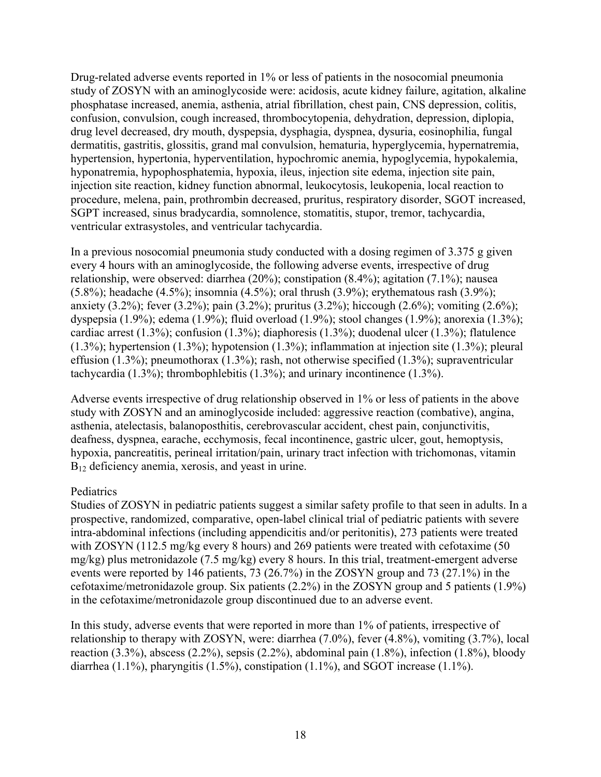Drug-related adverse events reported in 1% or less of patients in the nosocomial pneumonia study of ZOSYN with an aminoglycoside were: acidosis, acute kidney failure, agitation, alkaline phosphatase increased, anemia, asthenia, atrial fibrillation, chest pain, CNS depression, colitis, confusion, convulsion, cough increased, thrombocytopenia, dehydration, depression, diplopia, drug level decreased, dry mouth, dyspepsia, dysphagia, dyspnea, dysuria, eosinophilia, fungal dermatitis, gastritis, glossitis, grand mal convulsion, hematuria, hyperglycemia, hypernatremia, hypertension, hypertonia, hyperventilation, hypochromic anemia, hypoglycemia, hypokalemia, hyponatremia, hypophosphatemia, hypoxia, ileus, injection site edema, injection site pain, injection site reaction, kidney function abnormal, leukocytosis, leukopenia, local reaction to procedure, melena, pain, prothrombin decreased, pruritus, respiratory disorder, SGOT increased, SGPT increased, sinus bradycardia, somnolence, stomatitis, stupor, tremor, tachycardia, ventricular extrasystoles, and ventricular tachycardia.

In a previous nosocomial pneumonia study conducted with a dosing regimen of 3.375 g given every 4 hours with an aminoglycoside, the following adverse events, irrespective of drug relationship, were observed: diarrhea (20%); constipation (8.4%); agitation (7.1%); nausea (5.8%); headache (4.5%); insomnia (4.5%); oral thrush (3.9%); erythematous rash (3.9%); anxiety (3.2%); fever (3.2%); pain (3.2%); pruritus (3.2%); hiccough (2.6%); vomiting (2.6%); dyspepsia (1.9%); edema (1.9%); fluid overload (1.9%); stool changes (1.9%); anorexia (1.3%); cardiac arrest (1.3%); confusion (1.3%); diaphoresis (1.3%); duodenal ulcer (1.3%); flatulence (1.3%); hypertension (1.3%); hypotension (1.3%); inflammation at injection site (1.3%); pleural effusion (1.3%); pneumothorax (1.3%); rash, not otherwise specified (1.3%); supraventricular tachycardia (1.3%); thrombophlebitis (1.3%); and urinary incontinence (1.3%).

Adverse events irrespective of drug relationship observed in 1% or less of patients in the above study with ZOSYN and an aminoglycoside included: aggressive reaction (combative), angina, asthenia, atelectasis, balanoposthitis, cerebrovascular accident, chest pain, conjunctivitis, deafness, dyspnea, earache, ecchymosis, fecal incontinence, gastric ulcer, gout, hemoptysis, hypoxia, pancreatitis, perineal irritation/pain, urinary tract infection with trichomonas, vitamin  $B_{12}$  deficiency anemia, xerosis, and yeast in urine.

### **Pediatrics**

Studies of ZOSYN in pediatric patients suggest a similar safety profile to that seen in adults. In a prospective, randomized, comparative, open-label clinical trial of pediatric patients with severe intra-abdominal infections (including appendicitis and/or peritonitis), 273 patients were treated with ZOSYN (112.5 mg/kg every 8 hours) and 269 patients were treated with cefotaxime (50 mg/kg) plus metronidazole (7.5 mg/kg) every 8 hours. In this trial, treatment-emergent adverse events were reported by 146 patients, 73 (26.7%) in the ZOSYN group and 73 (27.1%) in the cefotaxime/metronidazole group. Six patients (2.2%) in the ZOSYN group and 5 patients (1.9%) in the cefotaxime/metronidazole group discontinued due to an adverse event.

In this study, adverse events that were reported in more than 1% of patients, irrespective of relationship to therapy with ZOSYN, were: diarrhea (7.0%), fever (4.8%), vomiting (3.7%), local reaction  $(3.3\%)$ , abscess  $(2.2\%)$ , sepsis  $(2.2\%)$ , abdominal pain  $(1.8\%)$ , infection  $(1.8\%)$ , bloody diarrhea (1.1%), pharyngitis (1.5%), constipation (1.1%), and SGOT increase (1.1%).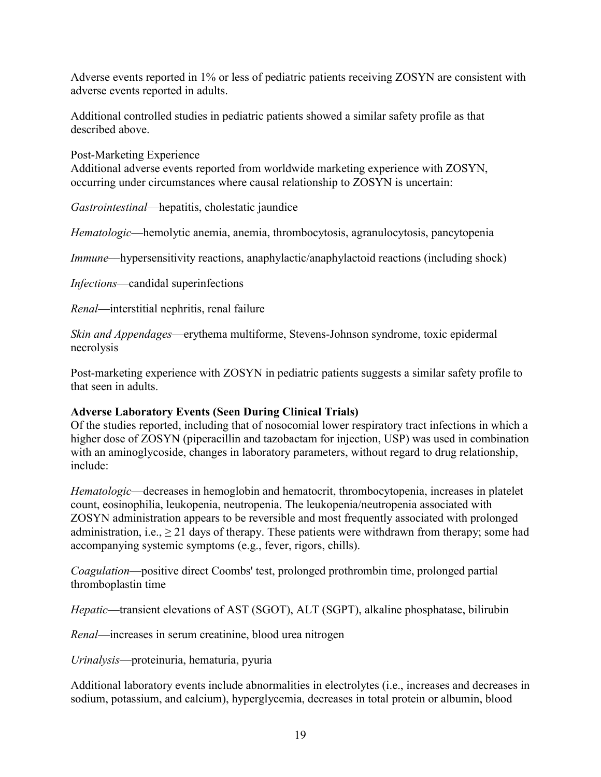Adverse events reported in 1% or less of pediatric patients receiving ZOSYN are consistent with adverse events reported in adults.

Additional controlled studies in pediatric patients showed a similar safety profile as that described above.

Post-Marketing Experience Additional adverse events reported from worldwide marketing experience with ZOSYN, occurring under circumstances where causal relationship to ZOSYN is uncertain:

*Gastrointestinal*—hepatitis, cholestatic jaundice

*Hematologic*—hemolytic anemia, anemia, thrombocytosis, agranulocytosis, pancytopenia

*Immune*––hypersensitivity reactions, anaphylactic/anaphylactoid reactions (including shock)

*Infections*––candidal superinfections

*Renal*—interstitial nephritis, renal failure

*Skin and Appendages*—erythema multiforme, Stevens-Johnson syndrome, toxic epidermal necrolysis

Post-marketing experience with ZOSYN in pediatric patients suggests a similar safety profile to that seen in adults.

### **Adverse Laboratory Events (Seen During Clinical Trials)**

Of the studies reported, including that of nosocomial lower respiratory tract infections in which a higher dose of ZOSYN (piperacillin and tazobactam for injection, USP) was used in combination with an aminoglycoside, changes in laboratory parameters, without regard to drug relationship, include:

*Hematologic*—decreases in hemoglobin and hematocrit, thrombocytopenia, increases in platelet count, eosinophilia, leukopenia, neutropenia. The leukopenia/neutropenia associated with ZOSYN administration appears to be reversible and most frequently associated with prolonged administration, i.e.,  $\geq$  21 days of therapy. These patients were withdrawn from therapy; some had accompanying systemic symptoms (e.g., fever, rigors, chills).

*Coagulation*—positive direct Coombs' test, prolonged prothrombin time, prolonged partial thromboplastin time

*Hepatic*—transient elevations of AST (SGOT), ALT (SGPT), alkaline phosphatase, bilirubin

*Renal*—increases in serum creatinine, blood urea nitrogen

*Urinalysis*—proteinuria, hematuria, pyuria

Additional laboratory events include abnormalities in electrolytes (i.e., increases and decreases in sodium, potassium, and calcium), hyperglycemia, decreases in total protein or albumin, blood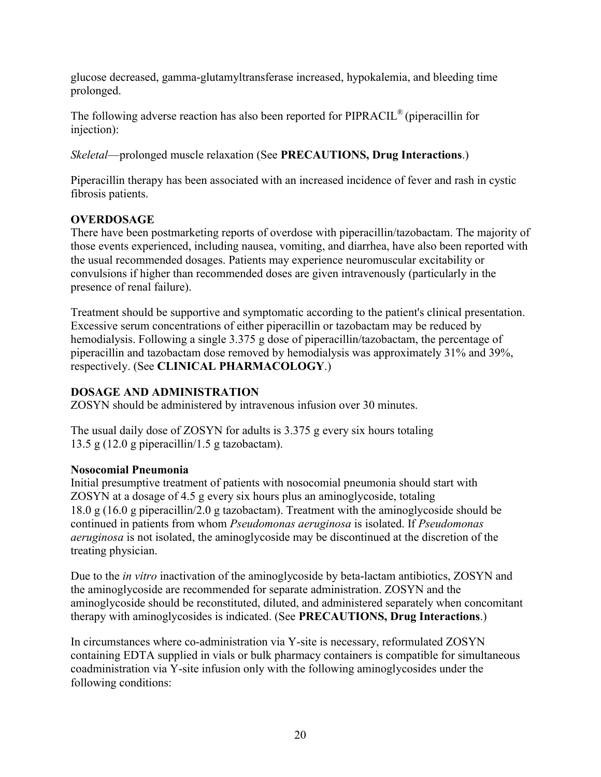glucose decreased, gamma-glutamyltransferase increased, hypokalemia, and bleeding time prolonged.

The following adverse reaction has also been reported for PIPRACIL® (piperacillin for injection):

*Skeletal*—prolonged muscle relaxation (See **PRECAUTIONS, Drug Interactions**.)

Piperacillin therapy has been associated with an increased incidence of fever and rash in cystic fibrosis patients.

# **OVERDOSAGE**

There have been postmarketing reports of overdose with piperacillin/tazobactam. The majority of those events experienced, including nausea, vomiting, and diarrhea, have also been reported with the usual recommended dosages. Patients may experience neuromuscular excitability or convulsions if higher than recommended doses are given intravenously (particularly in the presence of renal failure).

Treatment should be supportive and symptomatic according to the patient's clinical presentation. Excessive serum concentrations of either piperacillin or tazobactam may be reduced by hemodialysis. Following a single 3.375 g dose of piperacillin/tazobactam, the percentage of piperacillin and tazobactam dose removed by hemodialysis was approximately 31% and 39%, respectively. (See **CLINICAL PHARMACOLOGY**.)

# **DOSAGE AND ADMINISTRATION**

ZOSYN should be administered by intravenous infusion over 30 minutes.

The usual daily dose of ZOSYN for adults is 3.375 g every six hours totaling 13.5 g (12.0 g piperacillin/1.5 g tazobactam).

# **Nosocomial Pneumonia**

Initial presumptive treatment of patients with nosocomial pneumonia should start with ZOSYN at a dosage of 4.5 g every six hours plus an aminoglycoside, totaling 18.0 g (16.0 g piperacillin/2.0 g tazobactam). Treatment with the aminoglycoside should be continued in patients from whom *Pseudomonas aeruginosa* is isolated. If *Pseudomonas aeruginosa* is not isolated, the aminoglycoside may be discontinued at the discretion of the treating physician.

Due to the *in vitro* inactivation of the aminoglycoside by beta-lactam antibiotics, ZOSYN and the aminoglycoside are recommended for separate administration. ZOSYN and the aminoglycoside should be reconstituted, diluted, and administered separately when concomitant therapy with aminoglycosides is indicated. (See **PRECAUTIONS, Drug Interactions**.)

In circumstances where co-administration via Y-site is necessary, reformulated ZOSYN containing EDTA supplied in vials or bulk pharmacy containers is compatible for simultaneous coadministration via Y-site infusion only with the following aminoglycosides under the following conditions: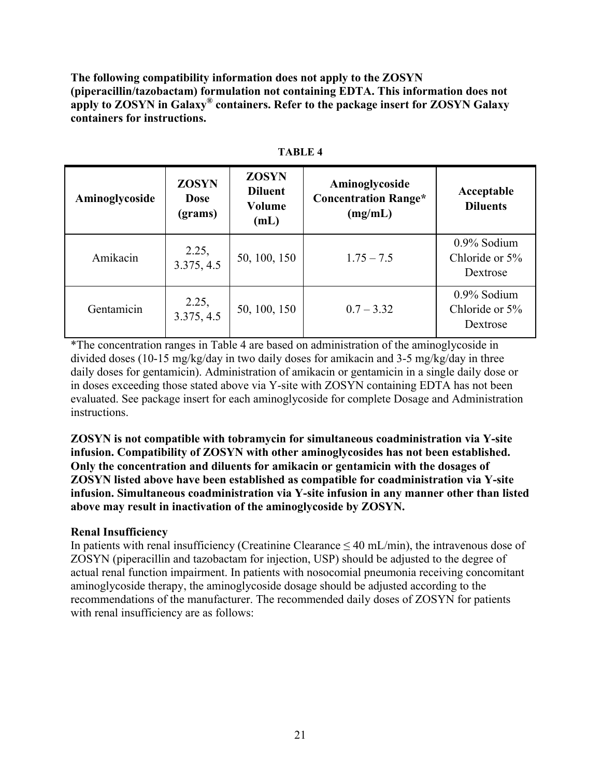**The following compatibility information does not apply to the ZOSYN (piperacillin/tazobactam) formulation not containing EDTA. This information does not apply to ZOSYN in Galaxy® containers. Refer to the package insert for ZOSYN Galaxy containers for instructions.** 

| Aminoglycoside | <b>ZOSYN</b><br><b>Dose</b><br>(grams) | <b>ZOSYN</b><br><b>Diluent</b><br><b>Volume</b><br>(mL) | Aminoglycoside<br><b>Concentration Range*</b><br>(mg/mL) | Acceptable<br><b>Diluents</b>                |
|----------------|----------------------------------------|---------------------------------------------------------|----------------------------------------------------------|----------------------------------------------|
| Amikacin       | 2.25,<br>3.375, 4.5                    | 50, 100, 150                                            | $1.75 - 7.5$                                             | $0.9\%$ Sodium<br>Chloride or 5%<br>Dextrose |
| Gentamicin     | 2.25,<br>3.375, 4.5                    | 50, 100, 150                                            | $0.7 - 3.32$                                             | 0.9% Sodium<br>Chloride or 5%<br>Dextrose    |

| `A BL A |  |
|---------|--|
|---------|--|

\*The concentration ranges in Table 4 are based on administration of the aminoglycoside in divided doses (10-15 mg/kg/day in two daily doses for amikacin and 3-5 mg/kg/day in three daily doses for gentamicin). Administration of amikacin or gentamicin in a single daily dose or in doses exceeding those stated above via Y-site with ZOSYN containing EDTA has not been evaluated. See package insert for each aminoglycoside for complete Dosage and Administration **instructions** 

**ZOSYN is not compatible with tobramycin for simultaneous coadministration via Y-site infusion. Compatibility of ZOSYN with other aminoglycosides has not been established. Only the concentration and diluents for amikacin or gentamicin with the dosages of ZOSYN listed above have been established as compatible for coadministration via Y-site infusion. Simultaneous coadministration via Y-site infusion in any manner other than listed above may result in inactivation of the aminoglycoside by ZOSYN.** 

### **Renal Insufficiency**

In patients with renal insufficiency (Creatinine Clearance  $\leq 40$  mL/min), the intravenous dose of ZOSYN (piperacillin and tazobactam for injection, USP) should be adjusted to the degree of actual renal function impairment. In patients with nosocomial pneumonia receiving concomitant aminoglycoside therapy, the aminoglycoside dosage should be adjusted according to the recommendations of the manufacturer. The recommended daily doses of ZOSYN for patients with renal insufficiency are as follows: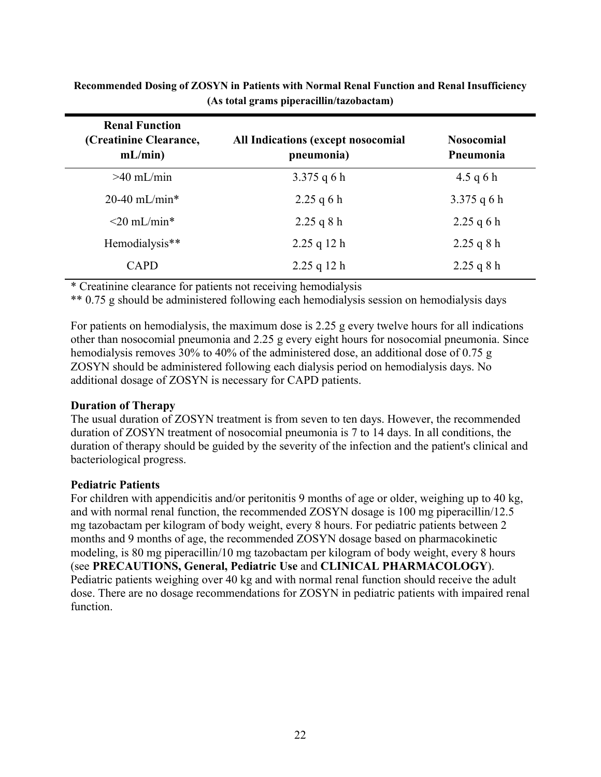| All Indications (except nosocomial<br>pneumonia) | <b>Nosocomial</b><br>Pneumonia           |  |  |  |
|--------------------------------------------------|------------------------------------------|--|--|--|
| $3.375$ q 6 h                                    | $4.5$ q 6 h                              |  |  |  |
| $2.25$ q 6 h                                     | $3.375$ q 6 h                            |  |  |  |
| $2.25$ q $8$ h                                   | $2.25$ q 6 h                             |  |  |  |
| $2.25$ q 12 h                                    | $2.25$ q 8 h                             |  |  |  |
| $2.25$ q 12 h                                    | $2.25$ q $8$ h                           |  |  |  |
|                                                  | $(15)$ total grams piperacumizazobactam) |  |  |  |

**Recommended Dosing of ZOSYN in Patients with Normal Renal Function and Renal Insufficiency (As total grams piperacillin/tazobactam)** 

\* Creatinine clearance for patients not receiving hemodialysis

\*\* 0.75 g should be administered following each hemodialysis session on hemodialysis days

For patients on hemodialysis, the maximum dose is 2.25 g every twelve hours for all indications other than nosocomial pneumonia and 2.25 g every eight hours for nosocomial pneumonia. Since hemodialysis removes 30% to 40% of the administered dose, an additional dose of 0.75 g ZOSYN should be administered following each dialysis period on hemodialysis days. No additional dosage of ZOSYN is necessary for CAPD patients.

### **Duration of Therapy**

The usual duration of ZOSYN treatment is from seven to ten days. However, the recommended duration of ZOSYN treatment of nosocomial pneumonia is 7 to 14 days. In all conditions, the duration of therapy should be guided by the severity of the infection and the patient's clinical and bacteriological progress.

#### **Pediatric Patients**

For children with appendicitis and/or peritonitis 9 months of age or older, weighing up to 40 kg, and with normal renal function, the recommended ZOSYN dosage is 100 mg piperacillin/12.5 mg tazobactam per kilogram of body weight, every 8 hours. For pediatric patients between 2 months and 9 months of age, the recommended ZOSYN dosage based on pharmacokinetic modeling, is 80 mg piperacillin/10 mg tazobactam per kilogram of body weight, every 8 hours (see **PRECAUTIONS, General, Pediatric Use** and **CLINICAL PHARMACOLOGY**). Pediatric patients weighing over 40 kg and with normal renal function should receive the adult dose. There are no dosage recommendations for ZOSYN in pediatric patients with impaired renal function.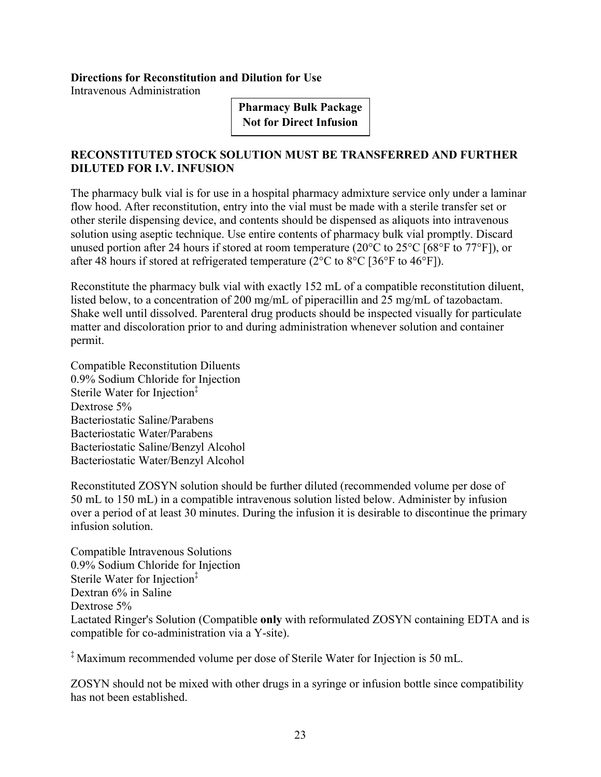#### **Directions for Reconstitution and Dilution for Use**  Intravenous Administration

**Pharmacy Bulk Package Not for Direct Infusion**

### **RECONSTITUTED STOCK SOLUTION MUST BE TRANSFERRED AND FURTHER DILUTED FOR I.V. INFUSION**

The pharmacy bulk vial is for use in a hospital pharmacy admixture service only under a laminar flow hood. After reconstitution, entry into the vial must be made with a sterile transfer set or other sterile dispensing device, and contents should be dispensed as aliquots into intravenous solution using aseptic technique. Use entire contents of pharmacy bulk vial promptly. Discard unused portion after 24 hours if stored at room temperature (20°C to 25°C [68°F to 77°F]), or after 48 hours if stored at refrigerated temperature (2°C to 8°C [36°F to 46°F]).

Reconstitute the pharmacy bulk vial with exactly 152 mL of a compatible reconstitution diluent, listed below, to a concentration of 200 mg/mL of piperacillin and 25 mg/mL of tazobactam. Shake well until dissolved. Parenteral drug products should be inspected visually for particulate matter and discoloration prior to and during administration whenever solution and container permit.

Compatible Reconstitution Diluents 0.9% Sodium Chloride for Injection Sterile Water for Injection‡ Dextrose 5% Bacteriostatic Saline/Parabens Bacteriostatic Water/Parabens Bacteriostatic Saline/Benzyl Alcohol Bacteriostatic Water/Benzyl Alcohol

Reconstituted ZOSYN solution should be further diluted (recommended volume per dose of 50 mL to 150 mL) in a compatible intravenous solution listed below. Administer by infusion over a period of at least 30 minutes. During the infusion it is desirable to discontinue the primary infusion solution.

Compatible Intravenous Solutions 0.9% Sodium Chloride for Injection Sterile Water for Injection‡ Dextran 6% in Saline Dextrose 5% Lactated Ringer's Solution (Compatible **only** with reformulated ZOSYN containing EDTA and is compatible for co-administration via a Y-site).

‡ Maximum recommended volume per dose of Sterile Water for Injection is 50 mL.

ZOSYN should not be mixed with other drugs in a syringe or infusion bottle since compatibility has not been established.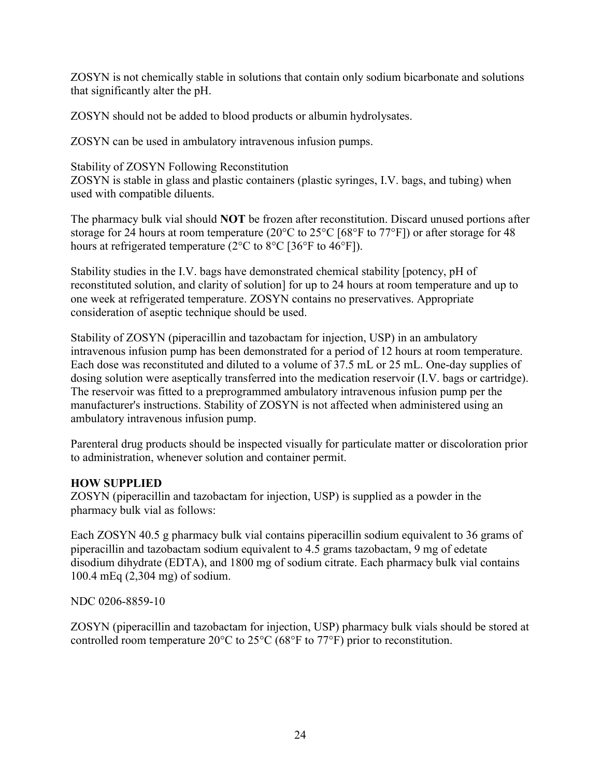ZOSYN is not chemically stable in solutions that contain only sodium bicarbonate and solutions that significantly alter the pH.

ZOSYN should not be added to blood products or albumin hydrolysates.

ZOSYN can be used in ambulatory intravenous infusion pumps.

#### Stability of ZOSYN Following Reconstitution

ZOSYN is stable in glass and plastic containers (plastic syringes, I.V. bags, and tubing) when used with compatible diluents.

The pharmacy bulk vial should **NOT** be frozen after reconstitution. Discard unused portions after storage for 24 hours at room temperature (20°C to 25°C [68°F to 77°F]) or after storage for 48 hours at refrigerated temperature (2°C to 8°C [36°F to 46°F]).

Stability studies in the I.V. bags have demonstrated chemical stability [potency, pH of reconstituted solution, and clarity of solution] for up to 24 hours at room temperature and up to one week at refrigerated temperature. ZOSYN contains no preservatives. Appropriate consideration of aseptic technique should be used.

Stability of ZOSYN (piperacillin and tazobactam for injection, USP) in an ambulatory intravenous infusion pump has been demonstrated for a period of 12 hours at room temperature. Each dose was reconstituted and diluted to a volume of 37.5 mL or 25 mL. One-day supplies of dosing solution were aseptically transferred into the medication reservoir (I.V. bags or cartridge). The reservoir was fitted to a preprogrammed ambulatory intravenous infusion pump per the manufacturer's instructions. Stability of ZOSYN is not affected when administered using an ambulatory intravenous infusion pump.

Parenteral drug products should be inspected visually for particulate matter or discoloration prior to administration, whenever solution and container permit.

### **HOW SUPPLIED**

ZOSYN (piperacillin and tazobactam for injection, USP) is supplied as a powder in the pharmacy bulk vial as follows:

Each ZOSYN 40.5 g pharmacy bulk vial contains piperacillin sodium equivalent to 36 grams of piperacillin and tazobactam sodium equivalent to 4.5 grams tazobactam, 9 mg of edetate disodium dihydrate (EDTA), and 1800 mg of sodium citrate. Each pharmacy bulk vial contains 100.4 mEq (2,304 mg) of sodium.

NDC 0206-8859-10

ZOSYN (piperacillin and tazobactam for injection, USP) pharmacy bulk vials should be stored at controlled room temperature 20°C to 25°C (68°F to 77°F) prior to reconstitution.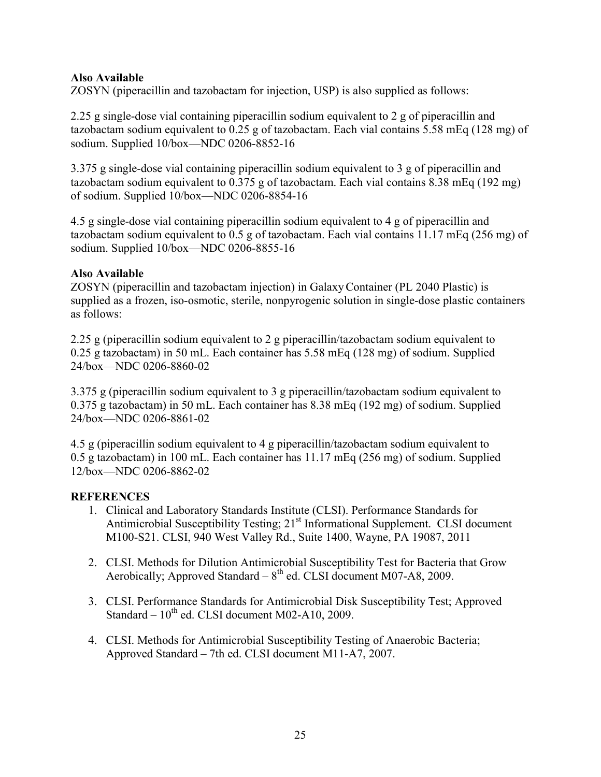## **Also Available**

ZOSYN (piperacillin and tazobactam for injection, USP) is also supplied as follows:

2.25 g single-dose vial containing piperacillin sodium equivalent to 2 g of piperacillin and tazobactam sodium equivalent to 0.25 g of tazobactam. Each vial contains 5.58 mEq (128 mg) of sodium. Supplied 10/box—NDC 0206-8852-16

3.375 g single-dose vial containing piperacillin sodium equivalent to 3 g of piperacillin and tazobactam sodium equivalent to 0.375 g of tazobactam. Each vial contains 8.38 mEq (192 mg) of sodium. Supplied 10/box—NDC 0206-8854-16

4.5 g single-dose vial containing piperacillin sodium equivalent to 4 g of piperacillin and tazobactam sodium equivalent to 0.5 g of tazobactam. Each vial contains 11.17 mEq (256 mg) of sodium. Supplied 10/box—NDC 0206-8855-16

## **Also Available**

ZOSYN (piperacillin and tazobactam injection) in GalaxyContainer (PL 2040 Plastic) is supplied as a frozen, iso-osmotic, sterile, nonpyrogenic solution in single-dose plastic containers as follows:

2.25 g (piperacillin sodium equivalent to 2 g piperacillin/tazobactam sodium equivalent to 0.25 g tazobactam) in 50 mL. Each container has 5.58 mEq (128 mg) of sodium. Supplied 24/box—NDC 0206-8860-02

3.375 g (piperacillin sodium equivalent to 3 g piperacillin/tazobactam sodium equivalent to 0.375 g tazobactam) in 50 mL. Each container has 8.38 mEq (192 mg) of sodium. Supplied 24/box—NDC 0206-8861-02

4.5 g (piperacillin sodium equivalent to 4 g piperacillin/tazobactam sodium equivalent to 0.5 g tazobactam) in 100 mL. Each container has 11.17 mEq (256 mg) of sodium. Supplied 12/box—NDC 0206-8862-02

### **REFERENCES**

- 1. Clinical and Laboratory Standards Institute (CLSI). Performance Standards for Antimicrobial Susceptibility Testing; 21<sup>st</sup> Informational Supplement. CLSI document M100-S21. CLSI, 940 West Valley Rd., Suite 1400, Wayne, PA 19087, 2011
- 2. CLSI. Methods for Dilution Antimicrobial Susceptibility Test for Bacteria that Grow Aerobically; Approved Standard –  $8<sup>th</sup>$  ed. CLSI document M07-A8, 2009.
- 3. CLSI. Performance Standards for Antimicrobial Disk Susceptibility Test; Approved Standard –  $10^{th}$  ed. CLSI document M02-A10, 2009.
- 4. CLSI. Methods for Antimicrobial Susceptibility Testing of Anaerobic Bacteria; Approved Standard – 7th ed. CLSI document M11-A7, 2007.